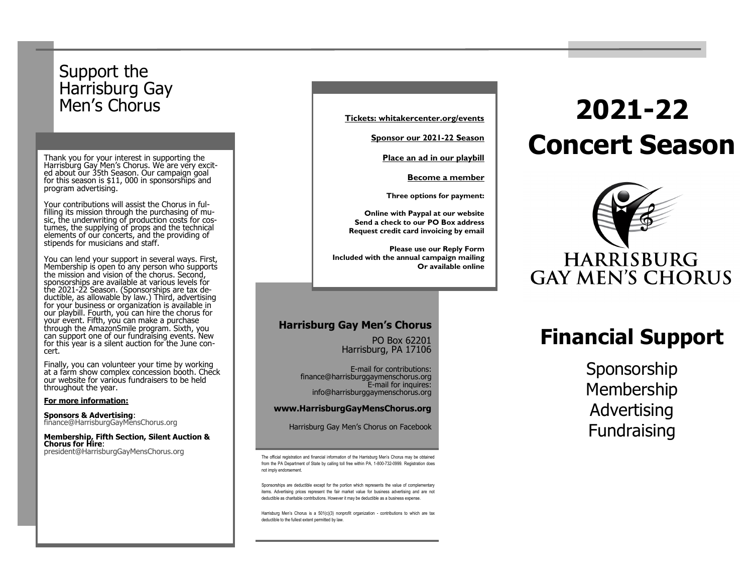# Support the Harrisburg Gay<br>Men's Chorus

Thank you for your interest in supporting the Harrisburg Gay Men's Chorus. We are very excited about our 35th Season. Our campaign goal for this season is  $$11,000$  in sponsorships and program advertising.

Your contributions will assist the Chorus in fulfilling its mission through the purchasing of music, the underwriting of production costs for costumes, the supplying of props and the technical elements of our concerts, and the providing of stipends for musicians and staff.

You can lend your support in several ways. First, Membership is open to any person who supports the mission and vision of the chorus. Second, sponsorships are available at various levels for the 2021-22 Season. (Sponsorships are tax deductible, as allowable by law.) Third, advertising for your business or organization is available in our playbill. Fourth, you can hire the chorus for your event. Fifth, you can make a purchase through the AmazonSmile program. Sixth, you can support one of our fundraising events. New for this year is a silent auction for the June concert.

Finally, you can volunteer your time by working at a farm show complex concession booth. Check our website for various fundraisers to be held throughout the year.

#### **For more information:**

**Sponsors & Advertising**: finance@HarrisburgGayMensChorus.org

**Membership, Fifth Section, Silent Auction & Chorus for Hire**: president@HarrisburgGayMensChorus.org

**Tickets: whitakercenter.org/events**

**Sponsor our 2021-22 Season** 

**Place an ad in our playbill**

**Become a member**

**Three options for payment:**

**Online with Paypal at our website Send a check to our PO Box address Request credit card invoicing by email** 

**Please use our Reply Form Included with the annual campaign mailing Or available online** 

#### **Harrisburg Gay Men's Chorus**

PO Box 62201 Harrisburg, PA 17106

E-mail for contributions: finance@harrisburggaymenschorus.org E-mail for inquires: info@harrisburggaymenschorus.org

#### **www.HarrisburgGayMensChorus.org**

Harrisburg Gay Men's Chorus on Facebook

The official registration and financial information of the Harrisburg Men's Chorus may be obtained from the PA Department of State by calling toll free within PA, 1-800-732-0999. Registration does not imply endorsement.

Sponsorships are deductible except for the portion which represents the value of complementary items. Advertising prices represent the fair market value for business advertising and are not deductible as charitable contributions. However it may be deductible as a business expense.

Harrisburg Men's Chorus is a 501(c)(3) nonprofit organization - contributions to which are tax deductible to the fullest extent permitted by law.

# Men's Chorus **2021-22 Concert Season**



# **Financial Support**

Sponsorship Membership Advertising Fundraising